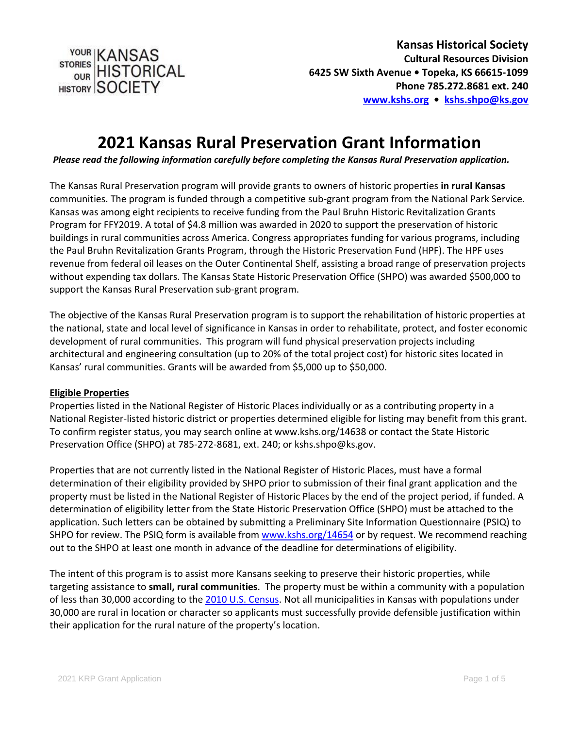STORIES HISTORICAL HISTORY SOCIETY

**Kansas Historical Society Cultural Resources Division 6425 SW Sixth Avenue • Topeka, KS 66615-1099 Phone 785.272.8681 ext. 240 [www.kshs.org](http://www.kshs.org/) • [kshs.shpo@ks.gov](mailto:kshs.shpo@ks.gov)** 

# **2021 Kansas Rural Preservation Grant Information**

*Please read the following information carefully before completing the Kansas Rural Preservation application.*

The Kansas Rural Preservation program will provide grants to owners of historic properties **in rural Kansas** communities. The program is funded through a competitive sub-grant program from the National Park Service. Kansas was among eight recipients to receive funding from the Paul Bruhn Historic Revitalization Grants Program for FFY2019. A total of \$4.8 million was awarded in 2020 to support the preservation of historic buildings in rural communities across America. Congress appropriates funding for various programs, including the Paul Bruhn Revitalization Grants Program, through the Historic Preservation Fund (HPF). The HPF uses revenue from federal oil leases on the Outer Continental Shelf, assisting a broad range of preservation projects without expending tax dollars. The Kansas State Historic Preservation Office (SHPO) was awarded \$500,000 to support the Kansas Rural Preservation sub-grant program.

The objective of the Kansas Rural Preservation program is to support the rehabilitation of historic properties at the national, state and local level of significance in Kansas in order to rehabilitate, protect, and foster economic development of rural communities. This program will fund physical preservation projects including architectural and engineering consultation (up to 20% of the total project cost) for historic sites located in Kansas' rural communities. Grants will be awarded from \$5,000 up to \$50,000.

#### **Eligible Properties**

Properties listed in the National Register of Historic Places individually or as a contributing property in a National Register-listed historic district or properties determined eligible for listing may benefit from this grant. To confirm register status, you may search online at www.kshs.org/14638 or contact the State Historic Preservation Office (SHPO) at 785-272-8681, ext. 240; or kshs.shpo@ks.gov.

Properties that are not currently listed in the National Register of Historic Places, must have a formal determination of their eligibility provided by SHPO prior to submission of their final grant application and the property must be listed in the National Register of Historic Places by the end of the project period, if funded. A determination of eligibility letter from the State Historic Preservation Office (SHPO) must be attached to the application. Such letters can be obtained by submitting a Preliminary Site Information Questionnaire (PSIQ) to SHPO for review. The PSIQ form is available fro[m www.kshs.org/14654](http://www.kshs.org/14654) or by request. We recommend reaching out to the SHPO at least one month in advance of the deadline for determinations of eligibility.

The intent of this program is to assist more Kansans seeking to preserve their historic properties, while targeting assistance to **small, rural communities**. The property must be within a community with a population of less than 30,000 according to the [2010 U.S. Census.](https://www.census.gov/quickfacts/fact/table/US/PST045219) Not all municipalities in Kansas with populations under 30,000 are rural in location or character so applicants must successfully provide defensible justification within their application for the rural nature of the property's location.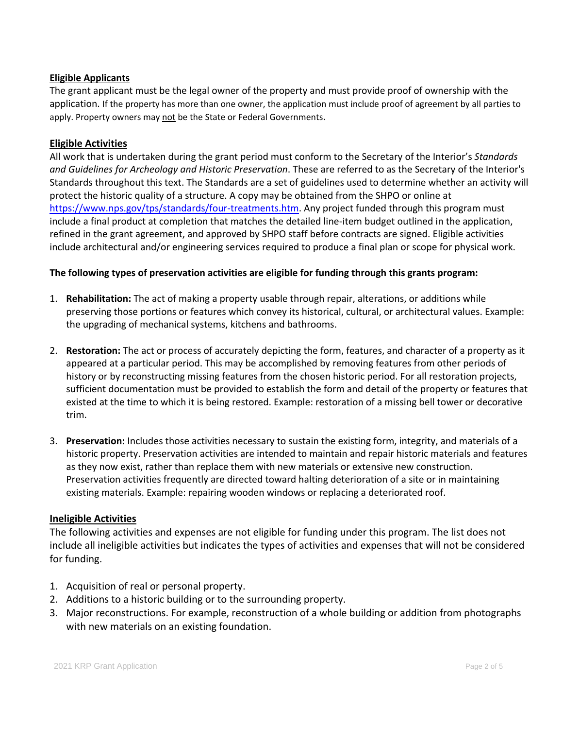## **Eligible Applicants**

The grant applicant must be the legal owner of the property and must provide proof of ownership with the application. If the property has more than one owner, the application must include proof of agreement by all parties to apply. Property owners may not be the State or Federal Governments.

### **Eligible Activities**

All work that is undertaken during the grant period must conform to the Secretary of the Interior's *Standards and Guidelines for Archeology and Historic Preservation*. These are referred to as the Secretary of the Interior's Standards throughout this text. The Standards are a set of guidelines used to determine whether an activity will protect the historic quality of a structure. A copy may be obtained from the SHPO or online at [https://www.nps.gov/tps/standards/four-treatments.htm.](https://www.nps.gov/tps/standards/four-treatments.htm) Any project funded through this program must include a final product at completion that matches the detailed line-item budget outlined in the application, refined in the grant agreement, and approved by SHPO staff before contracts are signed. Eligible activities include architectural and/or engineering services required to produce a final plan or scope for physical work.

#### **The following types of preservation activities are eligible for funding through this grants program:**

- 1. **Rehabilitation:** The act of making a property usable through repair, alterations, or additions while preserving those portions or features which convey its historical, cultural, or architectural values. Example: the upgrading of mechanical systems, kitchens and bathrooms.
- 2. **Restoration:** The act or process of accurately depicting the form, features, and character of a property as it appeared at a particular period. This may be accomplished by removing features from other periods of history or by reconstructing missing features from the chosen historic period. For all restoration projects, sufficient documentation must be provided to establish the form and detail of the property or features that existed at the time to which it is being restored. Example: restoration of a missing bell tower or decorative trim.
- 3. **Preservation:** Includes those activities necessary to sustain the existing form, integrity, and materials of a historic property. Preservation activities are intended to maintain and repair historic materials and features as they now exist, rather than replace them with new materials or extensive new construction. Preservation activities frequently are directed toward halting deterioration of a site or in maintaining existing materials. Example: repairing wooden windows or replacing a deteriorated roof.

#### **Ineligible Activities**

The following activities and expenses are not eligible for funding under this program. The list does not include all ineligible activities but indicates the types of activities and expenses that will not be considered for funding.

- 1. Acquisition of real or personal property.
- 2. Additions to a historic building or to the surrounding property.
- 3. Major reconstructions. For example, reconstruction of a whole building or addition from photographs with new materials on an existing foundation.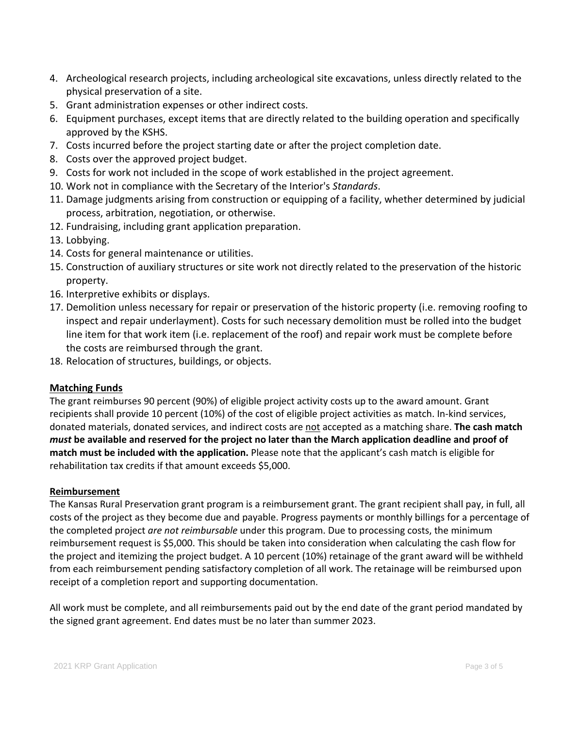- 4. Archeological research projects, including archeological site excavations, unless directly related to the physical preservation of a site.
- 5. Grant administration expenses or other indirect costs.
- 6. Equipment purchases, except items that are directly related to the building operation and specifically approved by the KSHS.
- 7. Costs incurred before the project starting date or after the project completion date.
- 8. Costs over the approved project budget.
- 9. Costs for work not included in the scope of work established in the project agreement.
- 10. Work not in compliance with the Secretary of the Interior's *Standards*.
- 11. Damage judgments arising from construction or equipping of a facility, whether determined by judicial process, arbitration, negotiation, or otherwise.
- 12. Fundraising, including grant application preparation.
- 13. Lobbying.
- 14. Costs for general maintenance or utilities.
- 15. Construction of auxiliary structures or site work not directly related to the preservation of the historic property.
- 16. Interpretive exhibits or displays.
- 17. Demolition unless necessary for repair or preservation of the historic property (i.e. removing roofing to inspect and repair underlayment). Costs for such necessary demolition must be rolled into the budget line item for that work item (i.e. replacement of the roof) and repair work must be complete before the costs are reimbursed through the grant.
- 18. Relocation of structures, buildings, or objects.

#### **Matching Funds**

The grant reimburses 90 percent (90%) of eligible project activity costs up to the award amount. Grant recipients shall provide 10 percent (10%) of the cost of eligible project activities as match. In-kind services, donated materials, donated services, and indirect costs are not accepted as a matching share. **The cash match** *must* **be available and reserved for the project no later than the March application deadline and proof of match must be included with the application.** Please note that the applicant's cash match is eligible for rehabilitation tax credits if that amount exceeds \$5,000.

#### **Reimbursement**

The Kansas Rural Preservation grant program is a reimbursement grant. The grant recipient shall pay, in full, all costs of the project as they become due and payable. Progress payments or monthly billings for a percentage of the completed project *are not reimbursable* under this program. Due to processing costs, the minimum reimbursement request is \$5,000. This should be taken into consideration when calculating the cash flow for the project and itemizing the project budget. A 10 percent (10%) retainage of the grant award will be withheld from each reimbursement pending satisfactory completion of all work. The retainage will be reimbursed upon receipt of a completion report and supporting documentation.

All work must be complete, and all reimbursements paid out by the end date of the grant period mandated by the signed grant agreement. End dates must be no later than summer 2023.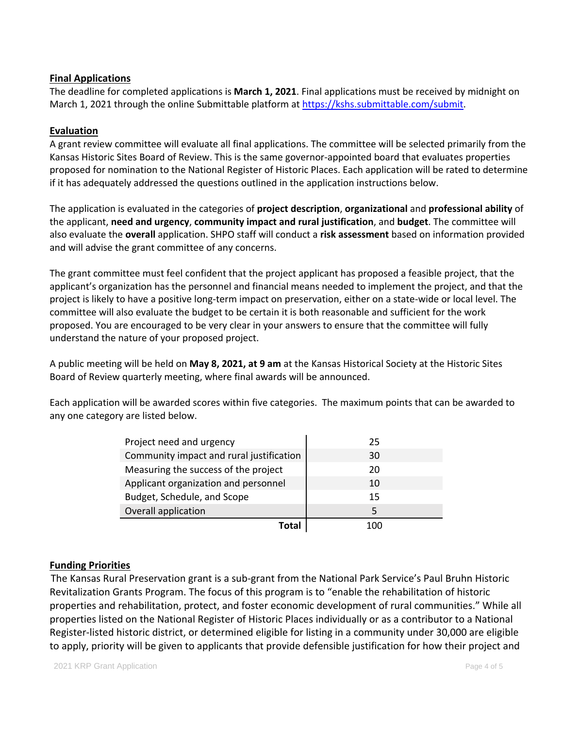## **Final Applications**

The deadline for completed applications is **March 1, 2021**. Final applications must be received by midnight on March 1, 2021 through the online Submittable platform at [https://kshs.submittable.com/submit.](https://kshs.submittable.com/submit)

## **Evaluation**

A grant review committee will evaluate all final applications. The committee will be selected primarily from the Kansas Historic Sites Board of Review. This is the same governor-appointed board that evaluates properties proposed for nomination to the National Register of Historic Places. Each application will be rated to determine if it has adequately addressed the questions outlined in the application instructions below.

The application is evaluated in the categories of **project description**, **organizational** and **professional ability** of the applicant, **need and urgency**, **community impact and rural justification**, and **budget**. The committee will also evaluate the **overall** application. SHPO staff will conduct a **risk assessment** based on information provided and will advise the grant committee of any concerns.

The grant committee must feel confident that the project applicant has proposed a feasible project, that the applicant's organization has the personnel and financial means needed to implement the project, and that the project is likely to have a positive long-term impact on preservation, either on a state-wide or local level. The committee will also evaluate the budget to be certain it is both reasonable and sufficient for the work proposed. You are encouraged to be very clear in your answers to ensure that the committee will fully understand the nature of your proposed project.

A public meeting will be held on **May 8, 2021, at 9 am** at the Kansas Historical Society at the Historic Sites Board of Review quarterly meeting, where final awards will be announced.

Each application will be awarded scores within five categories. The maximum points that can be awarded to any one category are listed below.

| Project need and urgency                 | 25    |
|------------------------------------------|-------|
| Community impact and rural justification | 30    |
| Measuring the success of the project     | 20    |
| Applicant organization and personnel     | 10    |
| Budget, Schedule, and Scope              | 15    |
| Overall application                      |       |
| Tota'                                    | 1 N N |

## **Funding Priorities**

The Kansas Rural Preservation grant is a sub-grant from the National Park Service's Paul Bruhn Historic Revitalization Grants Program. The focus of this program is to "enable the rehabilitation of historic properties and rehabilitation, protect, and foster economic development of rural communities." While all properties listed on the National Register of Historic Places individually or as a contributor to a National Register-listed historic district, or determined eligible for listing in a community under 30,000 are eligible to apply, priority will be given to applicants that provide defensible justification for how their project and